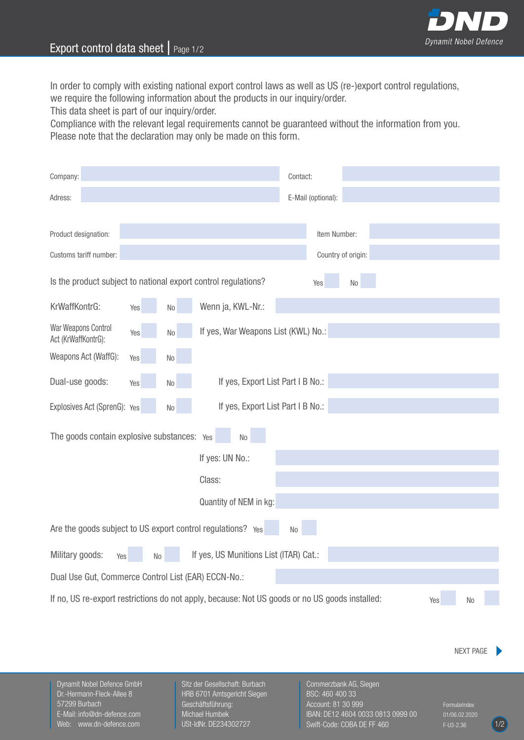

## Export control data sheet | Page 1/2

In order to comply with existing national export control laws as well as US (re-)export control regulations, we require the following information about the products in our inquiry/order.

This data sheet is part of our inquiry/order.

Compliance with the relevant legal requirements cannot be guaranteed without the information from you. Please note that the declaration may only be made on this form.

| Company:                                                                                                    |     |                |                                                                | Contact:           |                    |  |                  |  |
|-------------------------------------------------------------------------------------------------------------|-----|----------------|----------------------------------------------------------------|--------------------|--------------------|--|------------------|--|
| Adress:                                                                                                     |     |                |                                                                | E-Mail (optional): |                    |  |                  |  |
|                                                                                                             |     |                |                                                                |                    |                    |  |                  |  |
| Product designation:                                                                                        |     |                |                                                                |                    | Item Number:       |  |                  |  |
| Customs tariff number:                                                                                      |     |                |                                                                |                    | Country of origin: |  |                  |  |
|                                                                                                             |     |                | Is the product subject to national export control regulations? | Yes                | No                 |  |                  |  |
| KrWaffKontrG:                                                                                               | Yes | $\rm No$       | Wenn ja, KWL-Nr.:                                              |                    |                    |  |                  |  |
| War Weapons Control<br>Act (KrWaffKontrG):                                                                  | Yes | $\rm No$       | If yes, War Weapons List (KWL) No.:                            |                    |                    |  |                  |  |
| Weapons Act (WaffG):                                                                                        | Yes | No             |                                                                |                    |                    |  |                  |  |
| Dual-use goods:                                                                                             | Yes | N <sub>0</sub> | If yes, Export List Part I B No.:                              |                    |                    |  |                  |  |
| Explosives Act (SprenG): Yes                                                                                |     | No             | If yes, Export List Part I B No.:                              |                    |                    |  |                  |  |
| The goods contain explosive substances: Yes<br>No                                                           |     |                |                                                                |                    |                    |  |                  |  |
|                                                                                                             |     |                | If yes: UN No.:                                                |                    |                    |  |                  |  |
|                                                                                                             |     |                | Class:                                                         |                    |                    |  |                  |  |
|                                                                                                             |     |                | Quantity of NEM in kg:                                         |                    |                    |  |                  |  |
| Are the goods subject to US export control regulations? Yes<br>N <sub>o</sub>                               |     |                |                                                                |                    |                    |  |                  |  |
| Military goods:                                                                                             | Yes | No             | If yes, US Munitions List (ITAR) Cat.:                         |                    |                    |  |                  |  |
| Dual Use Gut, Commerce Control List (EAR) ECCN-No.:                                                         |     |                |                                                                |                    |                    |  |                  |  |
| If no, US re-export restrictions do not apply, because: Not US goods or no US goods installed:<br>Yes<br>No |     |                |                                                                |                    |                    |  |                  |  |
|                                                                                                             |     |                |                                                                |                    |                    |  |                  |  |
|                                                                                                             |     |                |                                                                |                    |                    |  | <b>NEXT PAGE</b> |  |

Dynamit Nobel Defence GmbH Dr.-Hermann-Fleck-Allee 8 57299 Burbach E-Mail: info@dn-defence.com Web: www.dn-defence.com

Sitz der Gesellschaft: Burbach HRB 6701 Amtsgericht Siegen Geschäftsführung: Michael Humbek USt-IdNr. DE234302727

Commerzbank AG, Siegen BSC: 460 400 33 Account: 81 30 999 IBAN: DE12 4604 0033 0813 0999 00 Swift-Code: COBA DE FF 460

Formularindex 01/06.02.2020  $F-U3-2.36$   $(1/2)$